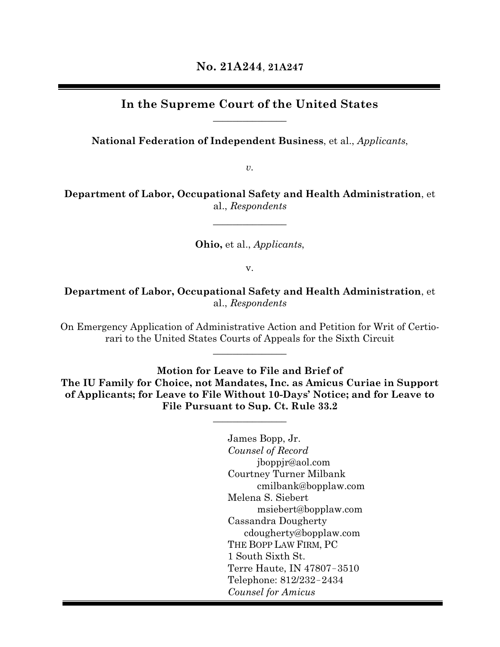# **In the Supreme Court of the United States**  $\overline{\phantom{a}}$  , where  $\overline{\phantom{a}}$

**National Federation of Independent Business**, et al., *Applicants*,

*v.*

**Department of Labor, Occupational Safety and Health Administration**, et al., *Respondents*

 $\overline{\phantom{a}}$  , where  $\overline{\phantom{a}}$ 

**Ohio,** et al., *Applicants*,

v.

**Department of Labor, Occupational Safety and Health Administration**, et al., *Respondents*

On Emergency Application of Administrative Action and Petition for Writ of Certiorari to the United States Courts of Appeals for the Sixth Circuit

 $\overline{\phantom{a}}$  , where  $\overline{\phantom{a}}$ 

**Motion for Leave to File and Brief of The IU Family for Choice, not Mandates, Inc. as Amicus Curiae in Support of Applicants; for Leave to File Without 10-Days' Notice; and for Leave to File Pursuant to Sup. Ct. Rule 33.2**

 $\mathcal{L}$  and  $\mathcal{L}$  are the set of  $\mathcal{L}$ 

James Bopp, Jr. *Counsel of Record* jboppjr@aol.com Courtney Turner Milbank cmilbank@bopplaw.com Melena S. Siebert msiebert@bopplaw.com Cassandra Dougherty cdougherty@bopplaw.com THE BOPP LAW FIRM, PC 1 South Sixth St. Terre Haute, IN 47807−3510 Telephone: 812/232−2434 *Counsel for Amicus*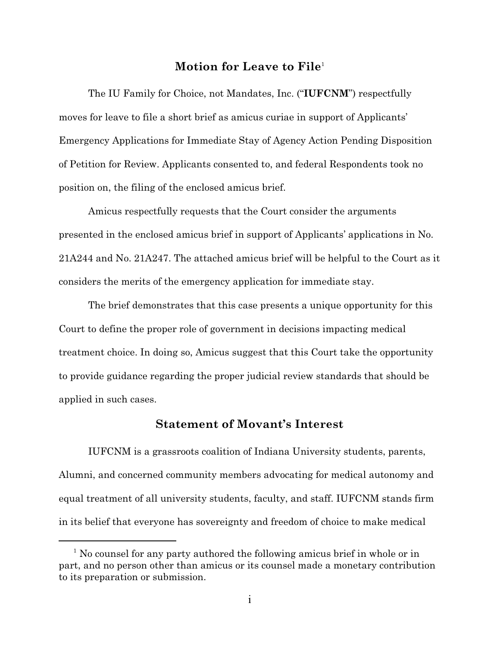## **Motion for Leave to File** 1

The IU Family for Choice, not Mandates, Inc. ("**IUFCNM**") respectfully moves for leave to file a short brief as amicus curiae in support of Applicants' Emergency Applications for Immediate Stay of Agency Action Pending Disposition of Petition for Review. Applicants consented to, and federal Respondents took no position on, the filing of the enclosed amicus brief.

Amicus respectfully requests that the Court consider the arguments presented in the enclosed amicus brief in support of Applicants' applications in No. 21A244 and No. 21A247. The attached amicus brief will be helpful to the Court as it considers the merits of the emergency application for immediate stay.

The brief demonstrates that this case presents a unique opportunity for this Court to define the proper role of government in decisions impacting medical treatment choice. In doing so, Amicus suggest that this Court take the opportunity to provide guidance regarding the proper judicial review standards that should be applied in such cases.

## **Statement of Movant's Interest**

IUFCNM is a grassroots coalition of Indiana University students, parents, Alumni, and concerned community members advocating for medical autonomy and equal treatment of all university students, faculty, and staff. IUFCNM stands firm in its belief that everyone has sovereignty and freedom of choice to make medical

<sup>&</sup>lt;sup>1</sup> No counsel for any party authored the following amicus brief in whole or in part, and no person other than amicus or its counsel made a monetary contribution to its preparation or submission.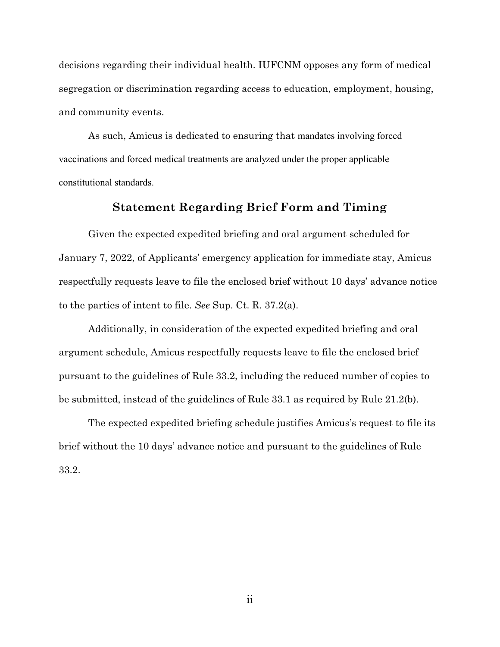decisions regarding their individual health. IUFCNM opposes any form of medical segregation or discrimination regarding access to education, employment, housing, and community events.

As such, Amicus is dedicated to ensuring that mandates involving forced vaccinations and forced medical treatments are analyzed under the proper applicable constitutional standards.

# <span id="page-2-4"></span>**Statement Regarding Brief Form and Timing**

Given the expected expedited briefing and oral argument scheduled for January 7, 2022, of Applicants' emergency application for immediate stay, Amicus respectfully requests leave to file the enclosed brief without 10 days' advance notice to the parties of intent to file. *See* Sup. Ct. R. 37.2(a).

<span id="page-2-2"></span>Additionally, in consideration of the expected expedited briefing and oral argument schedule, Amicus respectfully requests leave to file the enclosed brief pursuant to the guidelines of Rule 33.2, including the reduced number of copies to be submitted, instead of the guidelines of Rule 33.1 as required by Rule 21.2(b).

<span id="page-2-1"></span>The expected expedited briefing schedule justifies Amicus's request to file its brief without the 10 days' advance notice and pursuant to the guidelines of Rule 33.2.

<span id="page-2-3"></span><span id="page-2-0"></span>ii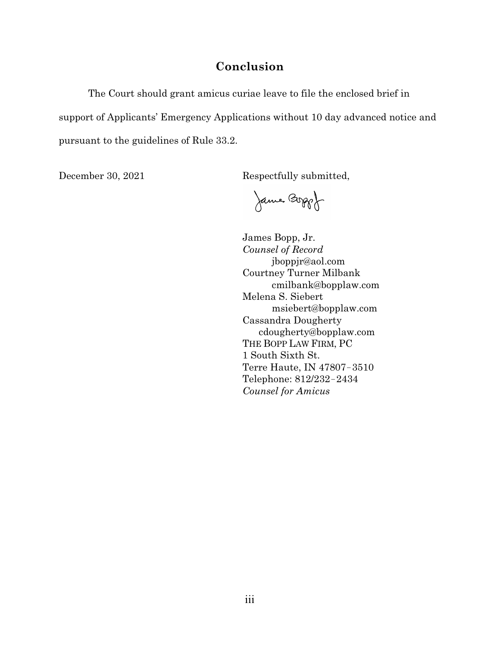# **Conclusion**

The Court should grant amicus curiae leave to file the enclosed brief in support of Applicants' Emergency Applications without 10 day advanced notice and pursuant to the guidelines of Rule 33.2.

December 30, 2021 Respectfully submitted,

James Boppof

James Bopp, Jr. *Counsel of Record* jboppjr@aol.com Courtney Turner Milbank cmilbank@bopplaw.com Melena S. Siebert msiebert@bopplaw.com Cassandra Dougherty cdougherty@bopplaw.com THE BOPP LAW FIRM, PC 1 South Sixth St. Terre Haute, IN 47807−3510 Telephone: 812/232−2434 *Counsel for Amicus*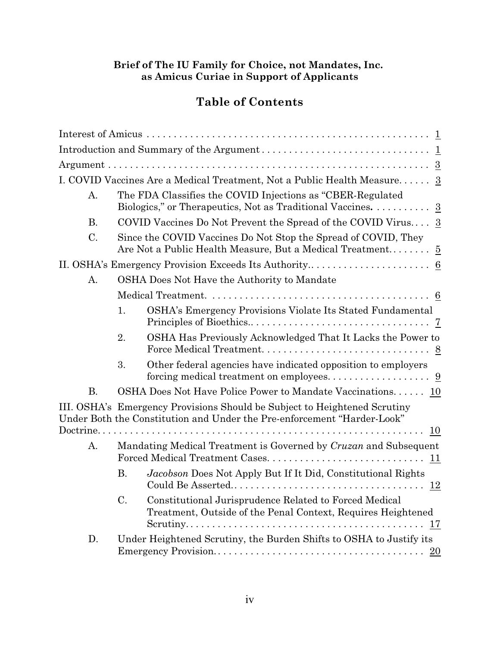## **Brief of The IU Family for Choice, not Mandates, Inc. as Amicus Curiae in Support of Applicants**

# **Table of Contents**

|           |           | I. COVID Vaccines Are a Medical Treatment, Not a Public Health Measure 3                                                                             |
|-----------|-----------|------------------------------------------------------------------------------------------------------------------------------------------------------|
| A.        |           | The FDA Classifies the COVID Injections as "CBER-Regulated<br>Biologics," or Therapeutics, Not as Traditional Vaccines. 3                            |
| <b>B.</b> |           | COVID Vaccines Do Not Prevent the Spread of the COVID Virus $3$                                                                                      |
| C.        |           | Since the COVID Vaccines Do Not Stop the Spread of COVID, They<br>Are Not a Public Health Measure, But a Medical Treatment 5                         |
|           |           |                                                                                                                                                      |
| A.        |           | OSHA Does Not Have the Authority to Mandate                                                                                                          |
|           |           |                                                                                                                                                      |
|           | 1.        | OSHA's Emergency Provisions Violate Its Stated Fundamental                                                                                           |
|           | 2.        | OSHA Has Previously Acknowledged That It Lacks the Power to                                                                                          |
|           | 3.        | Other federal agencies have indicated opposition to employers                                                                                        |
| <b>B.</b> |           | OSHA Does Not Have Police Power to Mandate Vaccinations. 10                                                                                          |
|           |           | III. OSHA's Emergency Provisions Should be Subject to Heightened Scrutiny<br>Under Both the Constitution and Under the Pre-enforcement "Harder-Look" |
|           |           |                                                                                                                                                      |
| A.        |           | Mandating Medical Treatment is Governed by Cruzan and Subsequent                                                                                     |
|           | <b>B.</b> | Jacobson Does Not Apply But If It Did, Constitutional Rights                                                                                         |
|           | C.        | Constitutional Jurisprudence Related to Forced Medical<br>Treatment, Outside of the Penal Context, Requires Heightened                               |
| D.        |           | Under Heightened Scrutiny, the Burden Shifts to OSHA to Justify its                                                                                  |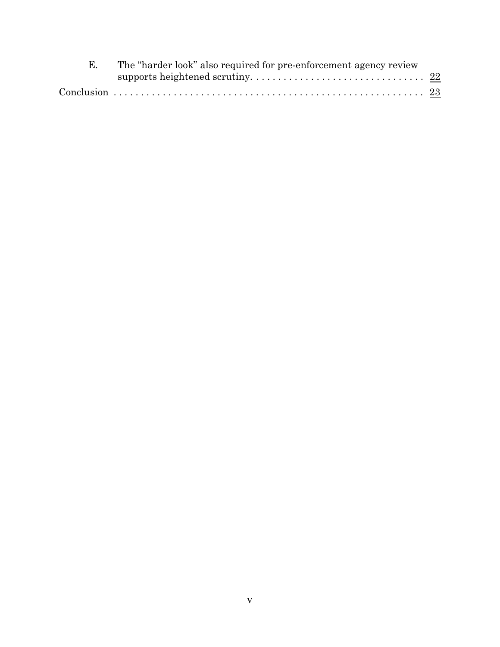| The "harder look" also required for pre-enforcement agency review |  |
|-------------------------------------------------------------------|--|
|                                                                   |  |
|                                                                   |  |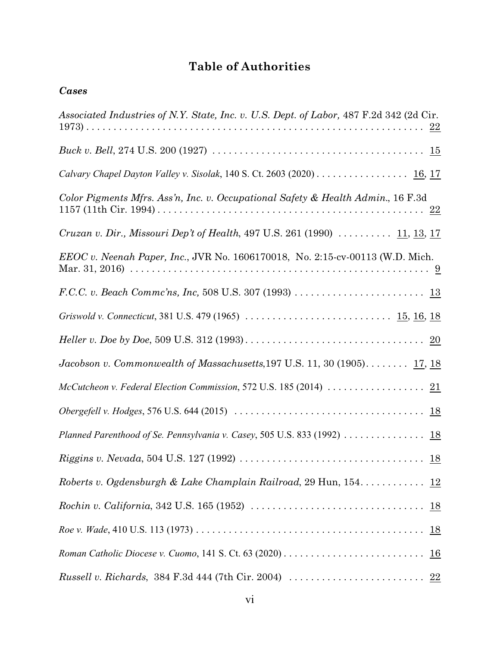# **Table of Authorities**

*Cases*

| Associated Industries of N.Y. State, Inc. v. U.S. Dept. of Labor, 487 F.2d 342 (2d Cir.                          |
|------------------------------------------------------------------------------------------------------------------|
|                                                                                                                  |
| Calvary Chapel Dayton Valley v. Sisolak, 140 S. Ct. 2603 (2020) 16, 17                                           |
| Color Pigments Mfrs. Ass'n, Inc. v. Occupational Safety & Health Admin., 16 F.3d                                 |
| <i>Cruzan v. Dir., Missouri Dep't of Health, 497 U.S. 261 (1990)</i> $11, 13, 17$                                |
| EEOC v. Neenah Paper, Inc., JVR No. 1606170018, No. 2:15-cv-00113 (W.D. Mich.                                    |
|                                                                                                                  |
|                                                                                                                  |
|                                                                                                                  |
| Jacobson v. Commonwealth of Massachusetts, 197 U.S. 11, 30 $(1905)$ $17, 18$                                     |
| McCutcheon v. Federal Election Commission, 572 U.S. 185 (2014) $\ldots \ldots \ldots \ldots \ldots \frac{21}{2}$ |
|                                                                                                                  |
| Planned Parenthood of Se. Pennsylvania v. Casey, 505 U.S. 833 (1992)  18                                         |
|                                                                                                                  |
| Roberts v. Ogdensburgh & Lake Champlain Railroad, 29 Hun, 154 12                                                 |
|                                                                                                                  |
|                                                                                                                  |
|                                                                                                                  |
|                                                                                                                  |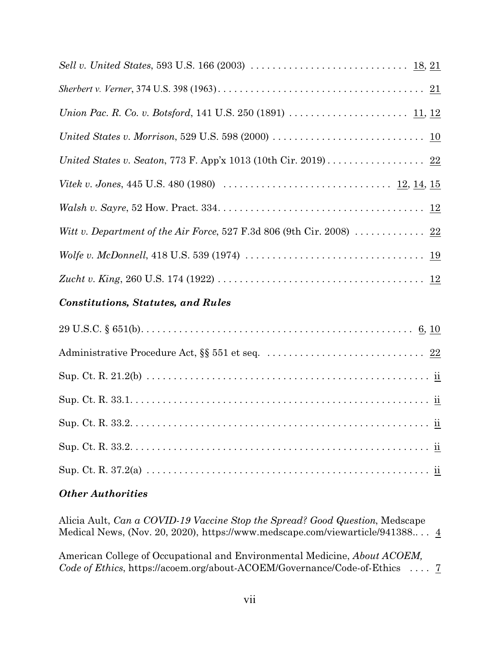| United States v. Morrison, 529 U.S. 598 (2000) $\ldots \ldots \ldots \ldots \ldots \ldots \ldots \ldots \ldots \underline{10}$   |
|----------------------------------------------------------------------------------------------------------------------------------|
| United States v. Seaton, 773 F. App'x 1013 (10th Cir. 2019) 22                                                                   |
| <i>Vitek v. Jones,</i> 445 U.S. 480 (1980) $\ldots \ldots \ldots \ldots \ldots \ldots \ldots \ldots \ldots \ldots \frac{12}{14}$ |
|                                                                                                                                  |
| Witt v. Department of the Air Force, 527 F.3d 806 (9th Cir. 2008)  22                                                            |
| Wolfe v. McDonnell, 418 U.S. 539 (1974) $\ldots \ldots \ldots \ldots \ldots \ldots \ldots \ldots \ldots \ldots \frac{19}{19}$    |
|                                                                                                                                  |
|                                                                                                                                  |

# *Constitutions, Statutes, and Rules*

## *Other Authorities*

Alicia Ault, *Can a COVID-19 Vaccine Stop the Spread? Good Question*, Medscape Medical News, (Nov. 20, 2020), <https://www.medscape.com/viewarticle/941388>.. . .  $\underline{4}$  $\underline{4}$  $\underline{4}$ 

American College of Occupational and Environmental Medicine, *About ACOEM, Code of Ethics*, [https://acoem.org/about-ACOEM/Governance/Code-of-Ethics](https://acoem.org/about-ACOEM/Governance/Code-of-Ethics%20) . . . . [7](#page-16-1)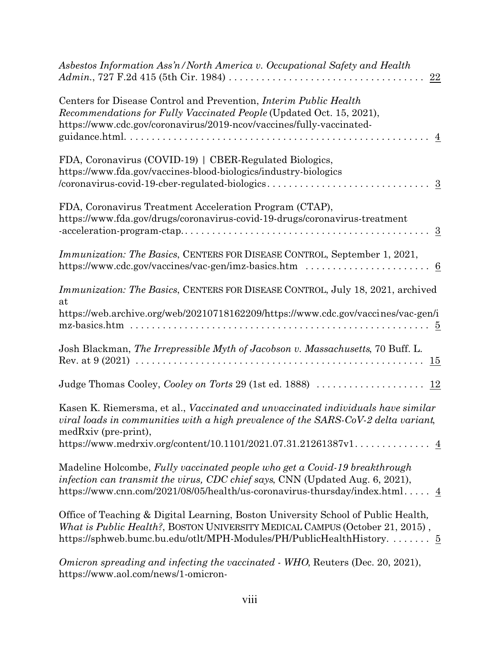| Asbestos Information Ass'n/North America v. Occupational Safety and Health<br>22                                                                                                                                                                        |
|---------------------------------------------------------------------------------------------------------------------------------------------------------------------------------------------------------------------------------------------------------|
| Centers for Disease Control and Prevention, <i>Interim Public Health</i><br>Recommendations for Fully Vaccinated People (Updated Oct. 15, 2021),<br>https://www.cdc.gov/coronavirus/2019-ncov/vaccines/fully-vaccinated-                                |
| FDA, Coronavirus (COVID-19)   CBER-Regulated Biologics,<br>https://www.fda.gov/vaccines-blood-biologics/industry-biologics                                                                                                                              |
| FDA, Coronavirus Treatment Acceleration Program (CTAP),<br>https://www.fda.gov/drugs/coronavirus-covid-19-drugs/coronavirus-treatment                                                                                                                   |
| Immunization: The Basics, CENTERS FOR DISEASE CONTROL, September 1, 2021,                                                                                                                                                                               |
| Immunization: The Basics, CENTERS FOR DISEASE CONTROL, July 18, 2021, archived<br>at<br>https://web.archive.org/web/20210718162209/https://www.cdc.gov/vaccines/vac-gen/i                                                                               |
| Josh Blackman, The Irrepressible Myth of Jacobson v. Massachusetts, 70 Buff. L.                                                                                                                                                                         |
| Judge Thomas Cooley, Cooley on Torts 29 (1st ed. 1888)  12                                                                                                                                                                                              |
| Kasen K. Riemersma, et al., Vaccinated and unvaccinated individuals have similar<br>viral loads in communities with a high prevalence of the SARS-CoV-2 delta variant,<br>medRxiv (pre-print),                                                          |
|                                                                                                                                                                                                                                                         |
| Madeline Holcombe, Fully vaccinated people who get a Covid-19 breakthrough<br>infection can transmit the virus, CDC chief says, CNN (Updated Aug. 6, 2021),<br>https://www.cnn.com/2021/08/05/health/us-coronavirus-thursday/index.html $\underline{4}$ |
| Office of Teaching & Digital Learning, Boston University School of Public Health,<br>What is Public Health?, BOSTON UNIVERSITY MEDICAL CAMPUS (October 21, 2015),<br>https://sphweb.bumc.bu.edu/otlt/MPH-Modules/PH/PublicHealthHistory 5               |
| Omicron spreading and infecting the vaccinated - WHO, Reuters (Dec. 20, 2021),<br>https://www.aol.com/news/1-omicron-                                                                                                                                   |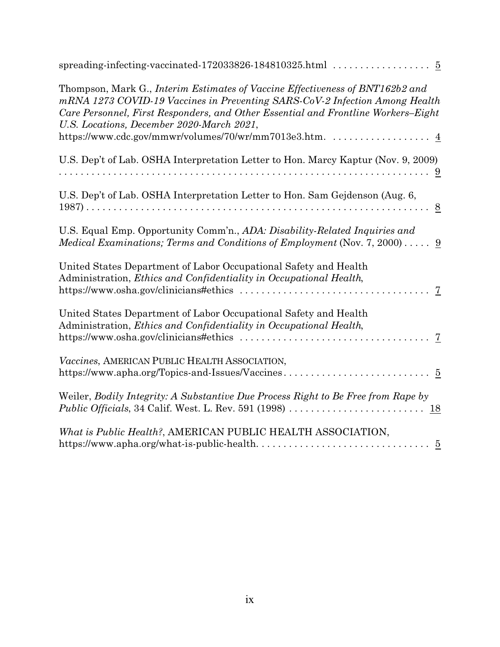| Thompson, Mark G., Interim Estimates of Vaccine Effectiveness of BNT162b2 and<br>mRNA 1273 COVID-19 Vaccines in Preventing SARS-CoV-2 Infection Among Health<br>Care Personnel, First Responders, and Other Essential and Frontline Workers-Eight<br>U.S. Locations, December 2020-March 2021,<br>https://www.cdc.gov/mmwr/volumes/70/wr/mm7013e3.htm. 4 |
|----------------------------------------------------------------------------------------------------------------------------------------------------------------------------------------------------------------------------------------------------------------------------------------------------------------------------------------------------------|
|                                                                                                                                                                                                                                                                                                                                                          |
| U.S. Dep't of Lab. OSHA Interpretation Letter to Hon. Marcy Kaptur (Nov. 9, 2009)                                                                                                                                                                                                                                                                        |
|                                                                                                                                                                                                                                                                                                                                                          |
| U.S. Dep't of Lab. OSHA Interpretation Letter to Hon. Sam Gejdenson (Aug. 6,                                                                                                                                                                                                                                                                             |
| U.S. Equal Emp. Opportunity Comm'n., ADA: Disability-Related Inquiries and<br>Medical Examinations; Terms and Conditions of Employment (Nov. 7, 2000) 9                                                                                                                                                                                                  |
| United States Department of Labor Occupational Safety and Health<br>Administration, Ethics and Confidentiality in Occupational Health,                                                                                                                                                                                                                   |
| United States Department of Labor Occupational Safety and Health<br>Administration, Ethics and Confidentiality in Occupational Health,<br>$\overline{7}$                                                                                                                                                                                                 |
| Vaccines, AMERICAN PUBLIC HEALTH ASSOCIATION,                                                                                                                                                                                                                                                                                                            |
| Weiler, Bodily Integrity: A Substantive Due Process Right to Be Free from Rape by                                                                                                                                                                                                                                                                        |
| What is Public Health?, AMERICAN PUBLIC HEALTH ASSOCIATION,                                                                                                                                                                                                                                                                                              |
|                                                                                                                                                                                                                                                                                                                                                          |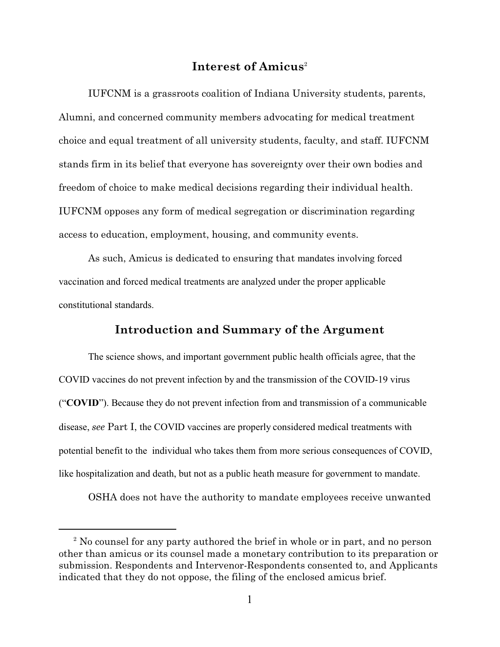## <span id="page-10-0"></span>**Interest of Amicus** 2

IUFCNM is a grassroots coalition of Indiana University students, parents, Alumni, and concerned community members advocating for medical treatment choice and equal treatment of all university students, faculty, and staff. IUFCNM stands firm in its belief that everyone has sovereignty over their own bodies and freedom of choice to make medical decisions regarding their individual health. IUFCNM opposes any form of medical segregation or discrimination regarding access to education, employment, housing, and community events.

As such, Amicus is dedicated to ensuring that mandates involving forced vaccination and forced medical treatments are analyzed under the proper applicable constitutional standards.

# <span id="page-10-1"></span>**Introduction and Summary of the Argument**

The science shows, and important government public health officials agree, that the COVID vaccines do not prevent infection by and the transmission of the COVID-19 virus ("**COVID**"). Because they do not prevent infection from and transmission of a communicable disease, *see* Part I, the COVID vaccines are properly considered medical treatments with potential benefit to the individual who takes them from more serious consequences of COVID, like hospitalization and death, but not as a public heath measure for government to mandate.

OSHA does not have the authority to mandate employees receive unwanted

<sup>&</sup>lt;sup>2</sup> No counsel for any party authored the brief in whole or in part, and no person other than amicus or its counsel made a monetary contribution to its preparation or submission. Respondents and Intervenor-Respondents consented to, and Applicants indicated that they do not oppose, the filing of the enclosed amicus brief.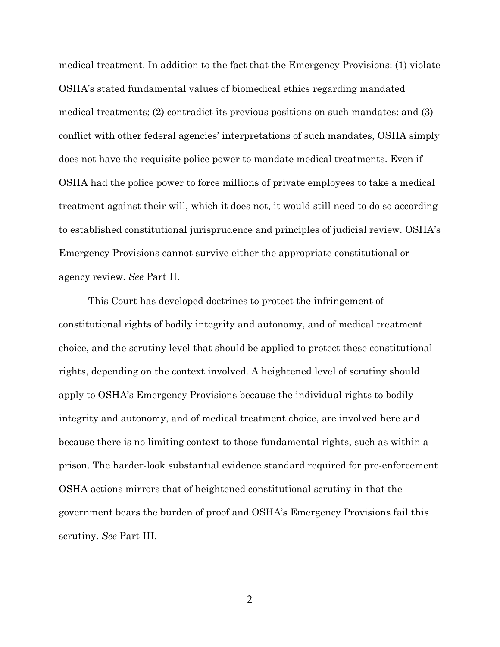medical treatment. In addition to the fact that the Emergency Provisions: (1) violate OSHA's stated fundamental values of biomedical ethics regarding mandated medical treatments; (2) contradict its previous positions on such mandates: and (3) conflict with other federal agencies' interpretations of such mandates, OSHA simply does not have the requisite police power to mandate medical treatments. Even if OSHA had the police power to force millions of private employees to take a medical treatment against their will, which it does not, it would still need to do so according to established constitutional jurisprudence and principles of judicial review. OSHA's Emergency Provisions cannot survive either the appropriate constitutional or agency review. *See* Part II.

This Court has developed doctrines to protect the infringement of constitutional rights of bodily integrity and autonomy, and of medical treatment choice, and the scrutiny level that should be applied to protect these constitutional rights, depending on the context involved. A heightened level of scrutiny should apply to OSHA's Emergency Provisions because the individual rights to bodily integrity and autonomy, and of medical treatment choice, are involved here and because there is no limiting context to those fundamental rights, such as within a prison. The harder-look substantial evidence standard required for pre-enforcement OSHA actions mirrors that of heightened constitutional scrutiny in that the government bears the burden of proof and OSHA's Emergency Provisions fail this scrutiny. *See* Part III.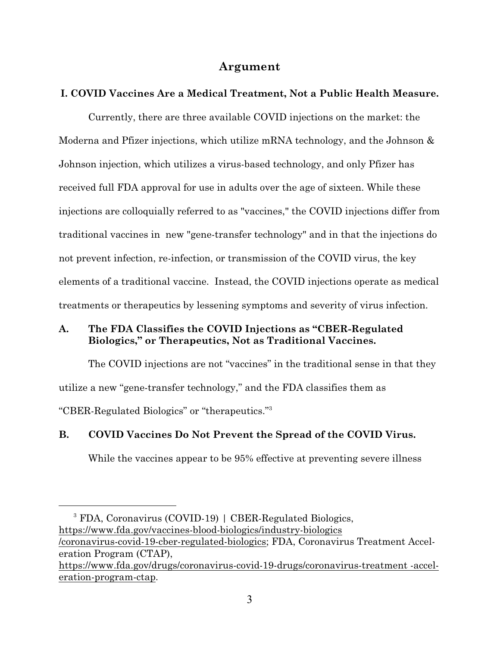## <span id="page-12-0"></span>**Argument**

## <span id="page-12-1"></span>**I. COVID Vaccines Are a Medical Treatment, Not a Public Health Measure.**

Currently, there are three available COVID injections on the market: the Moderna and Pfizer injections, which utilize mRNA technology, and the Johnson & Johnson injection, which utilizes a virus-based technology, and only Pfizer has received full FDA approval for use in adults over the age of sixteen. While these injections are colloquially referred to as "vaccines," the COVID injections differ from traditional vaccines in new "gene-transfer technology" and in that the injections do not prevent infection, re-infection, or transmission of the COVID virus, the key elements of a traditional vaccine. Instead, the COVID injections operate as medical treatments or therapeutics by lessening symptoms and severity of virus infection.

## <span id="page-12-2"></span>**A. The FDA Classifies the COVID Injections as "CBER-Regulated Biologics," or Therapeutics, Not as Traditional Vaccines.**

The COVID injections are not "vaccines" in the traditional sense in that they utilize a new "gene-transfer technology," and the FDA classifies them as "CBER-Regulated Biologics" or "therapeutics."<sup>3</sup>

#### <span id="page-12-3"></span>**B. COVID Vaccines Do Not Prevent the Spread of the COVID Virus.**

<span id="page-12-5"></span>While the vaccines appear to be 95% effective at preventing severe illness

<span id="page-12-4"></span><sup>3</sup> FDA, Coronavirus (COVID-19) | CBER-Regulated Biologics, [https://www.fda.gov/vaccines-blood-biologics/industry-biologics](https://www.fda.gov/vaccines-blood-biologics/industry-biologics/coronavirus-covid-19-cber-regulated-biologics) [/coronavirus-covid-19-cber-regulated-biologics;](https://www.fda.gov/vaccines-blood-biologics/industry-biologics/coronavirus-covid-19-cber-regulated-biologics) FDA, Coronavirus Treatment Acceleration Program (CTAP), [https://www.fda.gov/drugs/coronavirus-covid-19-drugs/coronavirus-treatment -accel](https://www.fda.gov/drugs/coronavirus-covid-19-drugs/coronavirus-treatment-acceleration-program-ctap)[eration-program-ctap](https://www.fda.gov/drugs/coronavirus-covid-19-drugs/coronavirus-treatment-acceleration-program-ctap).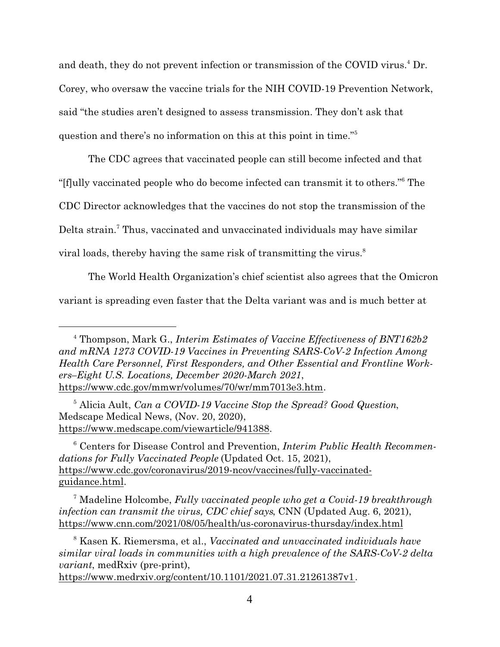and death, they do not prevent infection or transmission of the COVID virus.<sup>4</sup> Dr. Corey, who oversaw the vaccine trials for the NIH COVID-19 Prevention Network, said "the studies aren't designed to assess transmission. They don't ask that question and there's no information on this at this point in time."<sup>5</sup>

The CDC agrees that vaccinated people can still become infected and that "[f]ully vaccinated people who do become infected can transmit it to others."<sup>6</sup> The CDC Director acknowledges that the vaccines do not stop the transmission of the Delta strain.<sup>7</sup> Thus, vaccinated and unvaccinated individuals may have similar viral loads, thereby having the same risk of transmitting the virus.<sup>8</sup>

The World Health Organization's chief scientist also agrees that the Omicron variant is spreading even faster that the Delta variant was and is much better at

<span id="page-13-4"></span><sup>4</sup> Thompson, Mark G., *Interim Estimates of Vaccine Effectiveness of BNT162b2 and mRNA 1273 COVID-19 Vaccines in Preventing SARS-CoV-2 Infection Among Health Care Personnel, First Responders, and Other Essential and Frontline Workers–Eight U.S. Locations, December 2020-March 2021*, <https://www.cdc.gov/mmwr/volumes/70/wr/mm7013e3.htm>.

<span id="page-13-0"></span><sup>5</sup> Alicia Ault, *Can a COVID-19 Vaccine Stop the Spread? Good Question*, Medscape Medical News, (Nov. 20, 2020), <https://www.medscape.com/viewarticle/941388>.

<span id="page-13-1"></span><sup>6</sup> Centers for Disease Control and Prevention, *Interim Public Health Recommendations for Fully Vaccinated People* (Updated Oct. 15, 2021), [https://www.cdc.gov/coronavirus/2019-ncov/vaccines/fully-vaccinated](https://www.cdc.gov/coronavirus/2019-ncov/vaccines/fully-vaccinated-guidance.html)[guidance.html](https://www.cdc.gov/coronavirus/2019-ncov/vaccines/fully-vaccinated-guidance.html).

<span id="page-13-3"></span><sup>7</sup> Madeline Holcombe, *Fully vaccinated people who get a Covid-19 breakthrough infection can transmit the virus, CDC chief says*, CNN (Updated Aug. 6, 2021), <https://www.cnn.com/2021/08/05/health/us-coronavirus-thursday/index.html>

<span id="page-13-2"></span><sup>8</sup> Kasen K. Riemersma, et al., *Vaccinated and unvaccinated individuals have similar viral loads in communities with a high prevalence of the SARS-CoV-2 delta variant*, medRxiv (pre-print),

<https://www.medrxiv.org/content/10.1101/2021.07.31.21261387v1>*.*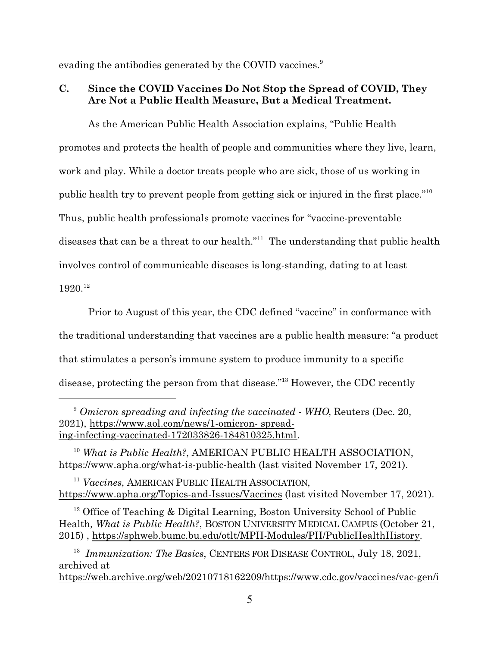evading the antibodies generated by the COVID vaccines.<sup>9</sup>

## <span id="page-14-0"></span>**C. Since the COVID Vaccines Do Not Stop the Spread of COVID, They Are Not a Public Health Measure, But a Medical Treatment.**

As the American Public Health Association explains, "Public Health promotes and protects the health of people and communities where they live, learn, work and play. While a doctor treats people who are sick, those of us working in public health try to prevent people from getting sick or injured in the first place."<sup>10</sup> Thus, public health professionals promote vaccines for "vaccine-preventable diseases that can be a threat to our health."<sup>11</sup> The understanding that public health involves control of communicable diseases is long-standing, dating to at least  $1920.<sup>12</sup>$ 

Prior to August of this year, the CDC defined "vaccine" in conformance with the traditional understanding that vaccines are a public health measure: "a product that stimulates a person's immune system to produce immunity to a specific disease, protecting the person from that disease."<sup>13</sup> However, the CDC recently

<span id="page-14-3"></span><sup>9</sup> *Omicron spreading and infecting the vaccinated - WHO*, Reuters (Dec. 20, 2021), [https://www.aol.com/news/1-omicron- spread](https://www.aol.com/news/1-omicron-spreading-infecting-vaccinated-172033826-184810325.html)[ing-infecting-vaccinated-172033826-184810325.html](https://www.aol.com/news/1-omicron-spreading-infecting-vaccinated-172033826-184810325.html).

<span id="page-14-5"></span><sup>10</sup> *What is Public Health?*, AMERICAN PUBLIC HEALTH ASSOCIATION, <https://www.apha.org/what-is-public-health> (last visited November 17, 2021).

<span id="page-14-4"></span><sup>11</sup> *Vaccines*, AMERICAN PUBLIC HEALTH A[SSOCIATION](https://www.apha.org/Topics-and-Issues/Vaccines), <https://www.apha.org/Topics-and-Issues/Vaccines> (last visited November 17, 2021).

<span id="page-14-2"></span><sup>12</sup> Office of Teaching & Digital Learning, Boston University School of Public Health*, What is Public Health?*, BOSTON UNIVERSITY MEDICAL CAMPUS (October 21, 2015) ,<https://sphweb.bumc.bu.edu/otlt/MPH-Modules/PH/PublicHealthHistory>.

<span id="page-14-1"></span><sup>13</sup> Immunization: The Basics, CENTERS FOR DISEASE CONTROL, July 18, 2021, archived at [https://web.archive.org/web/20210718162209/https://www.cdc.gov/vaccines/vac-gen/i](https://web.archive.org/web/20210718162209/https://www.cdc.gov/vaccines/vac-gen/imz-basics.htm)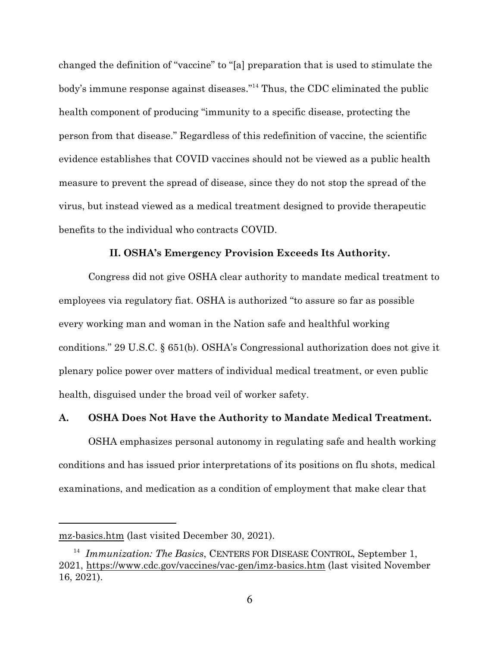changed the definition of "vaccine" to "[a] preparation that is used to stimulate the body's immune response against diseases."<sup>14</sup> Thus, the CDC eliminated the public health component of producing "immunity to a specific disease, protecting the person from that disease." Regardless of this redefinition of vaccine, the scientific evidence establishes that COVID vaccines should not be viewed as a public health measure to prevent the spread of disease, since they do not stop the spread of the virus, but instead viewed as a medical treatment designed to provide therapeutic benefits to the individual who contracts COVID.

#### <span id="page-15-0"></span>**II. OSHA's Emergency Provision Exceeds Its Authority.**

<span id="page-15-2"></span>Congress did not give OSHA clear authority to mandate medical treatment to employees via regulatory fiat. OSHA is authorized "to assure so far as possible every working man and woman in the Nation safe and healthful working conditions." 29 U.S.C. § 651(b). OSHA's Congressional authorization does not give it plenary police power over matters of individual medical treatment, or even public health, disguised under the broad veil of worker safety.

## <span id="page-15-1"></span>**A. OSHA Does Not Have the Authority to Mandate Medical Treatment.**

OSHA emphasizes personal autonomy in regulating safe and health working conditions and has issued prior interpretations of its positions on flu shots, medical examinations, and medication as a condition of employment that make clear that

mz-basics.htm (last visited December 30, 2021).

<span id="page-15-3"></span><sup>&</sup>lt;sup>14</sup> Immunization: The Basics, CENTERS FOR DISEASE CONTROL, September 1, 2021,<https://www.cdc.gov/vaccines/vac-gen/imz-basics.htm> (last visited November 16, 2021).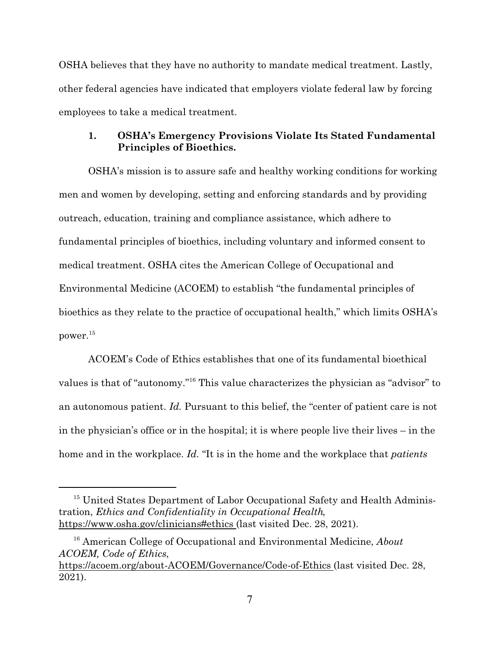OSHA believes that they have no authority to mandate medical treatment. Lastly, other federal agencies have indicated that employers violate federal law by forcing employees to take a medical treatment.

#### <span id="page-16-0"></span>**1. OSHA's Emergency Provisions Violate Its Stated Fundamental Principles of Bioethics.**

OSHA's mission is to assure safe and healthy working conditions for working men and women by developing, setting and enforcing standards and by providing outreach, education, training and compliance assistance, which adhere to fundamental principles of bioethics, including voluntary and informed consent to medical treatment. OSHA cites the American College of Occupational and Environmental Medicine (ACOEM) to establish "the fundamental principles of bioethics as they relate to the practice of occupational health," which limits OSHA's power.<sup>15</sup>

<span id="page-16-2"></span><span id="page-16-1"></span>ACOEM's Code of Ethics establishes that one of its fundamental bioethical values is that of "autonomy."<sup>16</sup> This value characterizes the physician as "advisor" to an autonomous patient. *Id.* Pursuant to this belief, the "center of patient care is not in the physician's office or in the hospital; it is where people live their lives – in the home and in the workplace. *Id.* "It is in the home and the workplace that *patients*

<span id="page-16-3"></span><sup>&</sup>lt;sup>15</sup> United States Department of Labor Occupational Safety and Health Administration, *Ethics and Confidentiality in Occupational Health*, [https://www.osha.gov/clinicians#ethics](https://www.osha.gov/clinicians#ethics%20) (last visited Dec. 28, 2021).

<sup>16</sup> American College of Occupational and Environmental Medicine, *About ACOEM, Code of Ethics*,

[https://acoem.org/about-ACOEM/Governance/Code-of-Ethics](https://acoem.org/about-ACOEM/Governance/Code-of-Ethics%20) (last visited Dec. 28, 2021).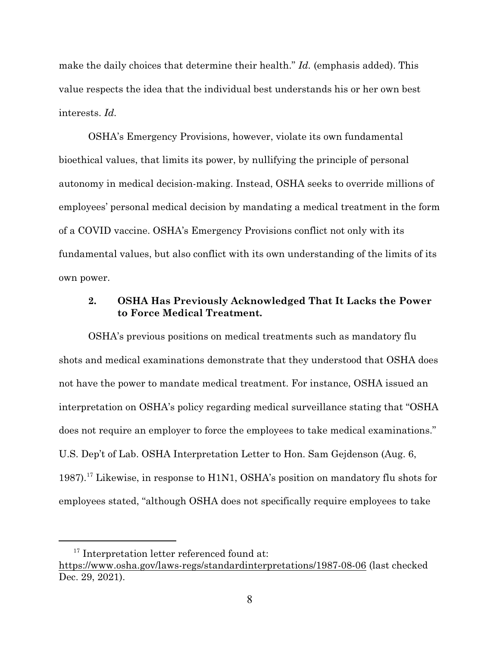make the daily choices that determine their health." *Id.* (emphasis added). This value respects the idea that the individual best understands his or her own best interests. *Id.*

OSHA's Emergency Provisions, however, violate its own fundamental bioethical values, that limits its power, by nullifying the principle of personal autonomy in medical decision-making. Instead, OSHA seeks to override millions of employees' personal medical decision by mandating a medical treatment in the form of a COVID vaccine. OSHA's Emergency Provisions conflict not only with its fundamental values, but also conflict with its own understanding of the limits of its own power.

## <span id="page-17-0"></span>**2. OSHA Has Previously Acknowledged That It Lacks the Power to Force Medical Treatment.**

OSHA's previous positions on medical treatments such as mandatory flu shots and medical examinations demonstrate that they understood that OSHA does not have the power to mandate medical treatment. For instance, OSHA issued an interpretation on OSHA's policy regarding medical surveillance stating that "OSHA does not require an employer to force the employees to take medical examinations." U.S. Dep't of Lab. OSHA Interpretation Letter to Hon. Sam Gejdenson (Aug. 6, 1987).<sup>17</sup> Likewise, in response to H1N1, OSHA's position on mandatory flu shots for employees stated, "although OSHA does not specifically require employees to take

<span id="page-17-1"></span><sup>&</sup>lt;sup>17</sup> Interpretation letter referenced found at:

<https://www.osha.gov/laws-regs/standardinterpretations/1987-08-06> (last checked Dec. 29, 2021).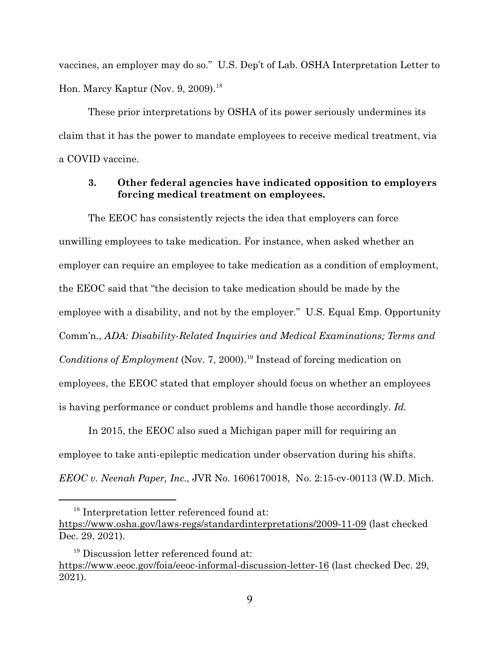<span id="page-18-2"></span>vaccines, an employer may do so." U.S. Dep't of Lab. OSHA Interpretation Letter to Hon. Marcy Kaptur (Nov. 9, 2009).<sup>18</sup>

These prior interpretations by OSHA of its power seriously undermines its claim that it has the power to mandate employees to receive medical treatment, via a COVID vaccine.

#### <span id="page-18-3"></span><span id="page-18-0"></span>**3. Other federal agencies have indicated opposition to employers forcing medical treatment on employees.**

The EEOC has consistently rejects the idea that employers can force unwilling employees to take medication. For instance, when asked whether an employer can require an employee to take medication as a condition of employment, the EEOC said that "the decision to take medication should be made by the employee with a disability, and not by the employer." U.S. Equal Emp. Opportunity Comm'n., *ADA: Disability-Related Inquiries and Medical Examinations; Terms and* Conditions of Employment (Nov. 7, 2000).<sup>19</sup> Instead of forcing medication on employees, the EEOC stated that employer should focus on whether an employees is having performance or conduct problems and handle those accordingly. *Id.*

In 2015, the EEOC also sued a Michigan paper mill for requiring an employee to take anti-epileptic medication under observation during his shifts. *EEOC v. Neenah Paper, Inc.*, JVR No. 1606170018, No. 2:15-cv-00113 (W.D. Mich.

<span id="page-18-1"></span><sup>&</sup>lt;sup>18</sup> Interpretation letter referenced found at:

<https://www.osha.gov/laws-regs/standardinterpretations/2009-11-09> (last checked Dec. 29, 2021).

<sup>&</sup>lt;sup>19</sup> Discussion letter referenced found at: <https://www.eeoc.gov/foia/eeoc-informal-discussion-letter-16> (last checked Dec. 29, 2021).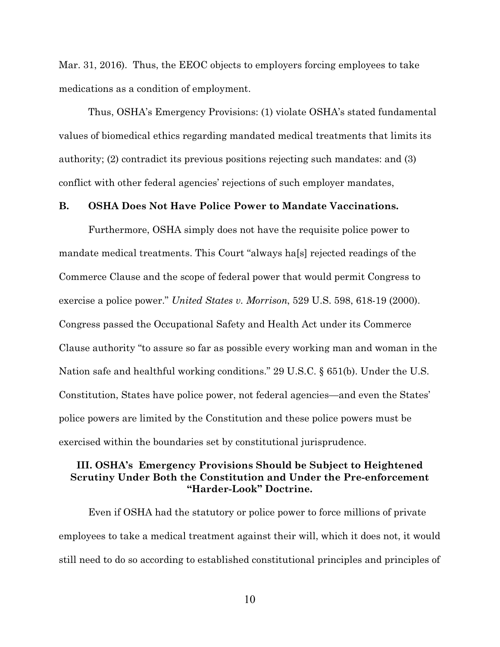Mar. 31, 2016). Thus, the EEOC objects to employers forcing employees to take medications as a condition of employment.

Thus, OSHA's Emergency Provisions: (1) violate OSHA's stated fundamental values of biomedical ethics regarding mandated medical treatments that limits its authority; (2) contradict its previous positions rejecting such mandates: and (3) conflict with other federal agencies' rejections of such employer mandates,

#### <span id="page-19-0"></span>**B. OSHA Does Not Have Police Power to Mandate Vaccinations.**

<span id="page-19-2"></span>Furthermore, OSHA simply does not have the requisite police power to mandate medical treatments. This Court "always ha[s] rejected readings of the Commerce Clause and the scope of federal power that would permit Congress to exercise a police power." *United States v. Morrison*, 529 U.S. 598, 618-19 (2000). Congress passed the Occupational Safety and Health Act under its Commerce Clause authority "to assure so far as possible every working man and woman in the Nation safe and healthful working conditions." 29 U.S.C. § 651(b). Under the U.S. Constitution, States have police power, not federal agencies—and even the States' police powers are limited by the Constitution and these police powers must be exercised within the boundaries set by constitutional jurisprudence.

### <span id="page-19-3"></span><span id="page-19-1"></span>**III. OSHA's Emergency Provisions Should be Subject to Heightened Scrutiny Under Both the Constitution and Under the Pre-enforcement "Harder-Look" Doctrine.**

Even if OSHA had the statutory or police power to force millions of private employees to take a medical treatment against their will, which it does not, it would still need to do so according to established constitutional principles and principles of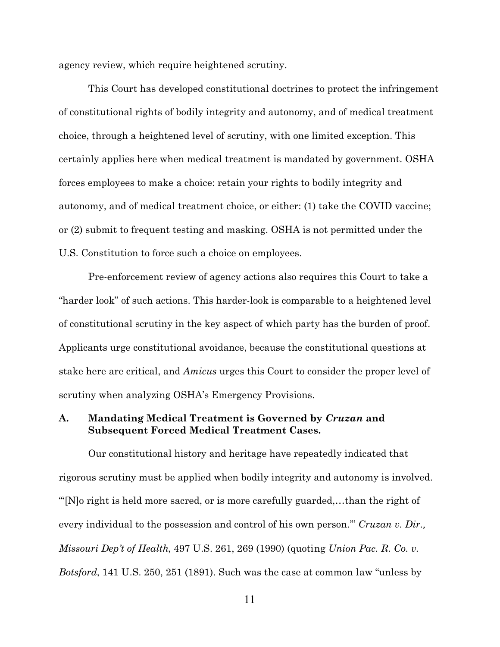agency review, which require heightened scrutiny.

This Court has developed constitutional doctrines to protect the infringement of constitutional rights of bodily integrity and autonomy, and of medical treatment choice, through a heightened level of scrutiny, with one limited exception. This certainly applies here when medical treatment is mandated by government. OSHA forces employees to make a choice: retain your rights to bodily integrity and autonomy, and of medical treatment choice, or either: (1) take the COVID vaccine; or (2) submit to frequent testing and masking. OSHA is not permitted under the U.S. Constitution to force such a choice on employees.

Pre-enforcement review of agency actions also requires this Court to take a "harder look" of such actions. This harder-look is comparable to a heightened level of constitutional scrutiny in the key aspect of which party has the burden of proof. Applicants urge constitutional avoidance, because the constitutional questions at stake here are critical, and *Amicus* urges this Court to consider the proper level of scrutiny when analyzing OSHA's Emergency Provisions.

## <span id="page-20-0"></span>**A. Mandating Medical Treatment is Governed by** *Cruzan* **and Subsequent Forced Medical Treatment Cases.**

<span id="page-20-2"></span><span id="page-20-1"></span>Our constitutional history and heritage have repeatedly indicated that rigorous scrutiny must be applied when bodily integrity and autonomy is involved. "'[N]o right is held more sacred, or is more carefully guarded,…than the right of every individual to the possession and control of his own person.'" *Cruzan v. Dir., Missouri Dep't of Health*, 497 U.S. 261, 269 (1990) (quoting *Union Pac. R. Co. v. Botsford*, 141 U.S. 250, 251 (1891). Such was the case at common law "unless by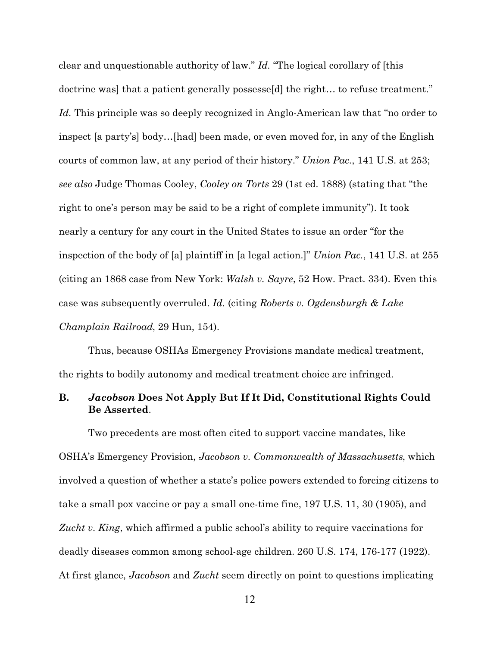<span id="page-21-6"></span><span id="page-21-2"></span>clear and unquestionable authority of law." *Id.* "The logical corollary of [this doctrine was] that a patient generally possesse[d] the right… to refuse treatment." *Id.* This principle was so deeply recognized in Anglo-American law that "no order to inspect [a party's] body…[had] been made, or even moved for, in any of the English courts of common law, at any period of their history." *Union Pac.*, 141 U.S. at 253; *see also* Judge Thomas Cooley, *Cooley on Torts* 29 (1st ed. 1888) (stating that "the right to one's person may be said to be a right of complete immunity"). It took nearly a century for any court in the United States to issue an order "for the inspection of the body of [a] plaintiff in [a legal action.]" *Union Pac.*, 141 U.S. at 255 (citing an 1868 case from New York: *Walsh v. Sayre*, 52 How. Pract. 334). Even this case was subsequently overruled. *Id.* (citing *Roberts v. Ogdensburgh & Lake Champlain Railroad*, 29 Hun, 154).

<span id="page-21-4"></span><span id="page-21-1"></span>Thus, because OSHAs Emergency Provisions mandate medical treatment, the rights to bodily autonomy and medical treatment choice are infringed.

## <span id="page-21-0"></span>**B.** *Jacobson* **Does Not Apply But If It Did, Constitutional Rights Could Be Asserted**.

<span id="page-21-5"></span><span id="page-21-3"></span>Two precedents are most often cited to support vaccine mandates, like OSHA's Emergency Provision, *Jacobson v. Commonwealth of Massachusetts*, which involved a question of whether a state's police powers extended to forcing citizens to take a small pox vaccine or pay a small one-time fine, 197 U.S. 11, 30 (1905), and *Zucht v. King*, which affirmed a public school's ability to require vaccinations for deadly diseases common among school-age children. 260 U.S. 174, 176-177 (1922). At first glance, *Jacobson* and *Zucht* seem directly on point to questions implicating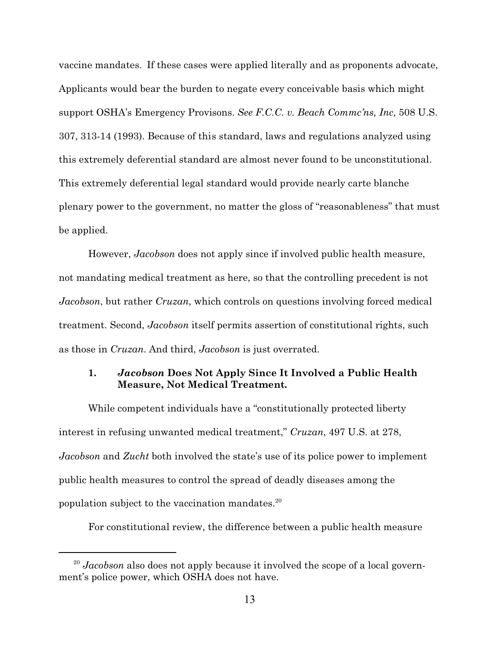<span id="page-22-1"></span>vaccine mandates. If these cases were applied literally and as proponents advocate, Applicants would bear the burden to negate every conceivable basis which might support OSHA's Emergency Provisons. *See F.C.C. v. Beach Commc'ns, Inc,* 508 U.S. 307, 313-14 (1993). Because of this standard, laws and regulations analyzed using this extremely deferential standard are almost never found to be unconstitutional. This extremely deferential legal standard would provide nearly carte blanche plenary power to the government, no matter the gloss of "reasonableness" that must be applied.

However, *Jacobson* does not apply since if involved public health measure, not mandating medical treatment as here, so that the controlling precedent is not *Jacobson*, but rather *Cruzan*, which controls on questions involving forced medical treatment. Second, *Jacobson* itself permits assertion of constitutional rights, such as those in *Cruzan*. And third, *Jacobson* is just overrated.

## <span id="page-22-0"></span>**1.** *Jacobson* **Does Not Apply Since It Involved a Public Health Measure, Not Medical Treatment***.*

While competent individuals have a "constitutionally protected liberty interest in refusing unwanted medical treatment," *Cruzan*, 497 U.S. at 278, *Jacobson* and *Zucht* both involved the state's use of its police power to implement public health measures to control the spread of deadly diseases among the population subject to the vaccination mandates.<sup>20</sup>

For constitutional review, the difference between a public health measure

<sup>&</sup>lt;sup>20</sup> Jacobson also does not apply because it involved the scope of a local government's police power, which OSHA does not have.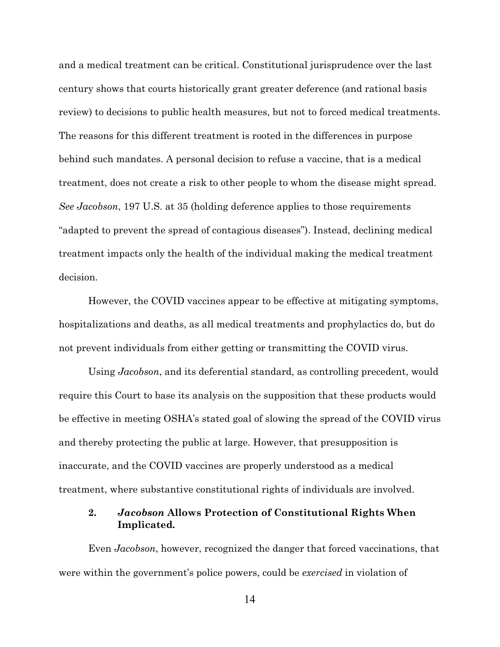and a medical treatment can be critical. Constitutional jurisprudence over the last century shows that courts historically grant greater deference (and rational basis review) to decisions to public health measures, but not to forced medical treatments. The reasons for this different treatment is rooted in the differences in purpose behind such mandates. A personal decision to refuse a vaccine, that is a medical treatment, does not create a risk to other people to whom the disease might spread. *See Jacobson*, 197 U.S. at 35 (holding deference applies to those requirements "adapted to prevent the spread of contagious diseases"). Instead, declining medical treatment impacts only the health of the individual making the medical treatment decision.

<span id="page-23-0"></span>However, the COVID vaccines appear to be effective at mitigating symptoms, hospitalizations and deaths, as all medical treatments and prophylactics do, but do not prevent individuals from either getting or transmitting the COVID virus.

Using *Jacobson*, and its deferential standard, as controlling precedent, would require this Court to base its analysis on the supposition that these products would be effective in meeting OSHA's stated goal of slowing the spread of the COVID virus and thereby protecting the public at large. However, that presupposition is inaccurate, and the COVID vaccines are properly understood as a medical treatment, where substantive constitutional rights of individuals are involved.

## **2.** *Jacobson* **Allows Protection of Constitutional Rights When Implicated***.*

Even *Jacobson*, however, recognized the danger that forced vaccinations, that were within the government's police powers, could be *exercised* in violation of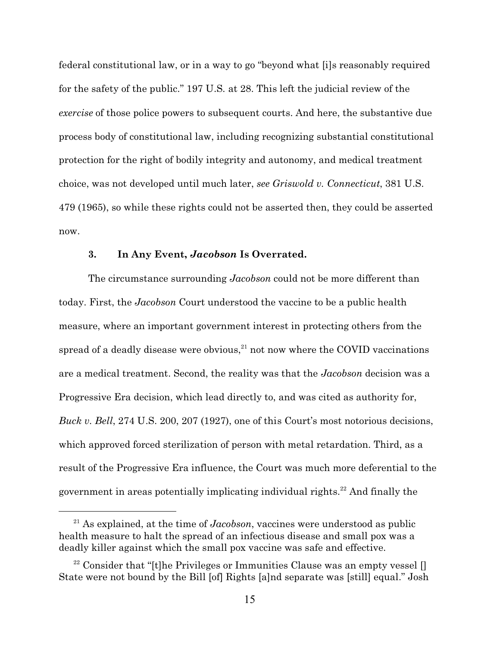<span id="page-24-2"></span>federal constitutional law, or in a way to go "beyond what [i]s reasonably required for the safety of the public." 197 U.S*.* at 28. This left the judicial review of the *exercise* of those police powers to subsequent courts. And here, the substantive due process body of constitutional law, including recognizing substantial constitutional protection for the right of bodily integrity and autonomy, and medical treatment choice, was not developed until much later, *see Griswold v. Connecticut*, 381 U.S. 479 (1965), so while these rights could not be asserted then, they could be asserted now.

#### <span id="page-24-1"></span>**3. In Any Event,** *Jacobson* **Is Overrated.**

The circumstance surrounding *Jacobson* could not be more different than today. First, the *Jacobson* Court understood the vaccine to be a public health measure, where an important government interest in protecting others from the spread of a deadly disease were obvious, $^{21}$  not now where the COVID vaccinations are a medical treatment. Second, the reality was that the *Jacobson* decision was a Progressive Era decision, which lead directly to, and was cited as authority for, *Buck v. Bell*, 274 U.S. 200, 207 (1927), one of this Court's most notorious decisions, which approved forced sterilization of person with metal retardation. Third, as a result of the Progressive Era influence, the Court was much more deferential to the government in areas potentially implicating individual rights. $^{22}$  And finally the

<span id="page-24-0"></span><sup>21</sup> As explained, at the time of *Jacobson*, vaccines were understood as public health measure to halt the spread of an infectious disease and small pox was a deadly killer against which the small pox vaccine was safe and effective.

<span id="page-24-3"></span><sup>&</sup>lt;sup>22</sup> Consider that "[t]he Privileges or Immunities Clause was an empty vessel [] State were not bound by the Bill [of] Rights [a]nd separate was [still] equal." Josh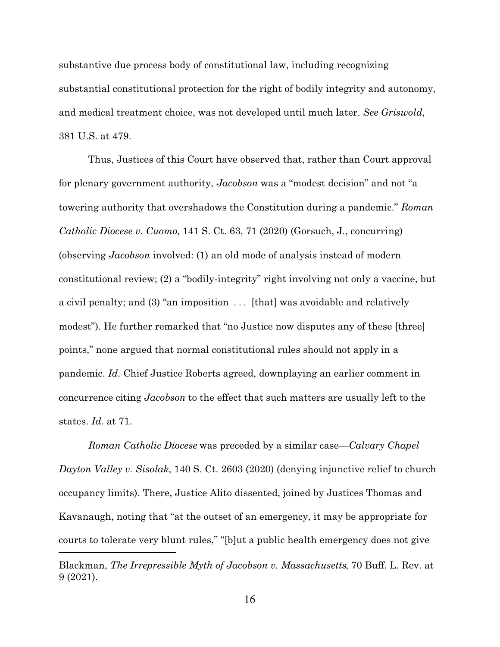<span id="page-25-1"></span>substantive due process body of constitutional law, including recognizing substantial constitutional protection for the right of bodily integrity and autonomy, and medical treatment choice, was not developed until much later. *See Griswold*, 381 U.S. at 479.

<span id="page-25-2"></span>Thus, Justices of this Court have observed that, rather than Court approval for plenary government authority, *Jacobson* was a "modest decision" and not "a towering authority that overshadows the Constitution during a pandemic." *Roman Catholic Diocese v. Cuomo*, 141 S. Ct. 63, 71 (2020) (Gorsuch, J., concurring) (observing *Jacobson* involved: (1) an old mode of analysis instead of modern constitutional review; (2) a "bodily-integrity" right involving not only a vaccine, but a civil penalty; and (3) "an imposition . . . [that] was avoidable and relatively modest"). He further remarked that "no Justice now disputes any of these [three] points," none argued that normal constitutional rules should not apply in a pandemic. *Id.* Chief Justice Roberts agreed, downplaying an earlier comment in concurrence citing *Jacobson* to the effect that such matters are usually left to the states. *Id.* at 71.

<span id="page-25-0"></span>*Roman Catholic Diocese* was preceded by a similar case—*Calvary Chapel Dayton Valley v. Sisolak*, 140 S. Ct. 2603 (2020) (denying injunctive relief to church occupancy limits). There, Justice Alito dissented, joined by Justices Thomas and Kavanaugh, noting that "at the outset of an emergency, it may be appropriate for courts to tolerate very blunt rules," "[b]ut a public health emergency does not give

Blackman, *The Irrepressible Myth of Jacobson v. Massachusetts*, 70 Buff. L. Rev. at 9 (2021).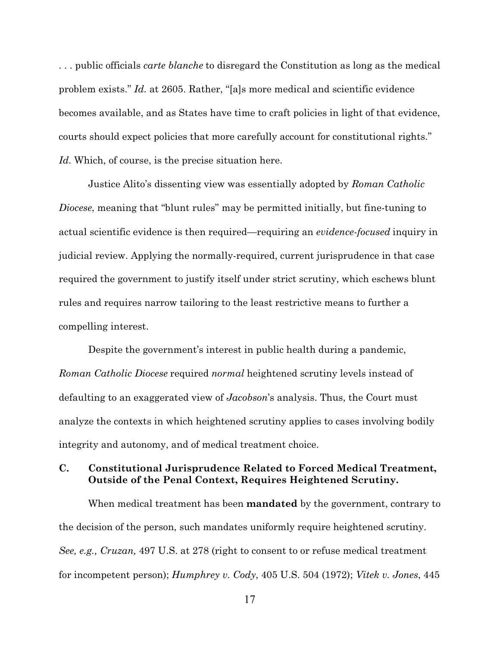. . . public officials *carte blanche* to disregard the Constitution as long as the medical problem exists." *Id.* at 2605. Rather, "[a]s more medical and scientific evidence becomes available, and as States have time to craft policies in light of that evidence, courts should expect policies that more carefully account for constitutional rights." *Id.* Which, of course, is the precise situation here.

<span id="page-26-1"></span>Justice Alito's dissenting view was essentially adopted by *Roman Catholic Diocese*, meaning that "blunt rules" may be permitted initially, but fine-tuning to actual scientific evidence is then required—requiring an *evidence-focused* inquiry in judicial review. Applying the normally-required, current jurisprudence in that case required the government to justify itself under strict scrutiny, which eschews blunt rules and requires narrow tailoring to the least restrictive means to further a compelling interest.

Despite the government's interest in public health during a pandemic, *Roman Catholic Diocese* required *normal* heightened scrutiny levels instead of defaulting to an exaggerated view of *Jacobson*'s analysis. Thus, the Court must analyze the contexts in which heightened scrutiny applies to cases involving bodily integrity and autonomy, and of medical treatment choice.

## <span id="page-26-0"></span>**C. Constitutional Jurisprudence Related to Forced Medical Treatment, Outside of the Penal Context, Requires Heightened Scrutiny.**

<span id="page-26-3"></span><span id="page-26-2"></span>When medical treatment has been **mandated** by the government, contrary to the decision of the person, such mandates uniformly require heightened scrutiny. *See, e.g., Cruzan,* 497 U.S. at 278 (right to consent to or refuse medical treatment for incompetent person); *Humphrey v. Cody*, 405 U.S. 504 (1972); *Vitek v. Jones*, 445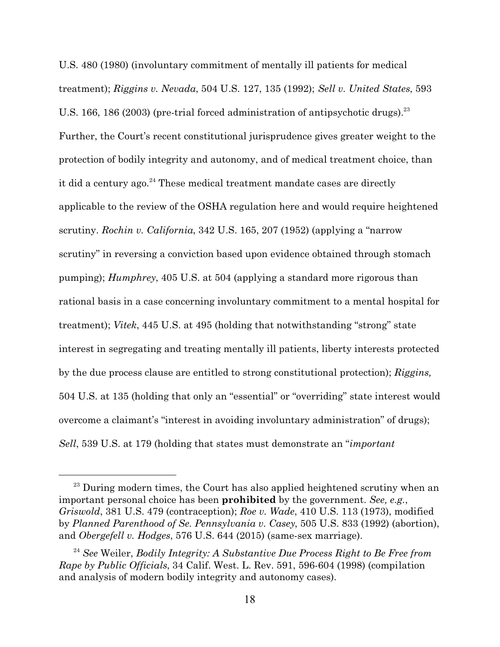<span id="page-27-7"></span><span id="page-27-5"></span><span id="page-27-4"></span><span id="page-27-1"></span>U.S. 480 (1980) (involuntary commitment of mentally ill patients for medical treatment); *Riggins v. Nevada*, 504 U.S. 127, 135 (1992); *Sell v. United States*, 593 U.S. 166, 186 (2003) (pre-trial forced administration of antipsychotic drugs).<sup>23</sup> Further, the Court's recent constitutional jurisprudence gives greater weight to the protection of bodily integrity and autonomy, and of medical treatment choice, than it did a century ago.<sup>24</sup> These medical treatment mandate cases are directly applicable to the review of the OSHA regulation here and would require heightened scrutiny. *Rochin v. California*, 342 U.S. 165, 207 (1952) (applying a "narrow scrutiny" in reversing a conviction based upon evidence obtained through stomach pumping); *Humphrey*, 405 U.S. at 504 (applying a standard more rigorous than rational basis in a case concerning involuntary commitment to a mental hospital for treatment); *Vitek*, 445 U.S. at 495 (holding that notwithstanding "strong" state interest in segregating and treating mentally ill patients, liberty interests protected by the due process clause are entitled to strong constitutional protection); *Riggins,* 504 U.S. at 135 (holding that only an "essential" or "overriding" state interest would overcome a claimant's "interest in avoiding involuntary administration" of drugs); *Sell*, 539 U.S. at 179 (holding that states must demonstrate an "*important*

<span id="page-27-6"></span><span id="page-27-0"></span> $^{23}$  During modern times, the Court has also applied heightened scrutiny when an important personal choice has been **prohibited** by the government. *See, e.g.*, *Griswold*, 381 U.S. 479 (contraception); *Roe v. Wade*, 410 U.S. 113 (1973), modified by *Planned Parenthood of Se. Pennsylvania v. Casey*, 505 U.S. 833 (1992) (abortion), and *Obergefell v. Hodges*, 576 U.S. 644 (2015) (same-sex marriage).

<span id="page-27-8"></span><span id="page-27-3"></span><span id="page-27-2"></span><sup>24</sup> *See* Weiler, *Bodily Integrity: A Substantive Due Process Right to Be Free from Rape by Public Officials*, 34 Calif. West. L. Rev. 591, 596-604 (1998) (compilation and analysis of modern bodily integrity and autonomy cases).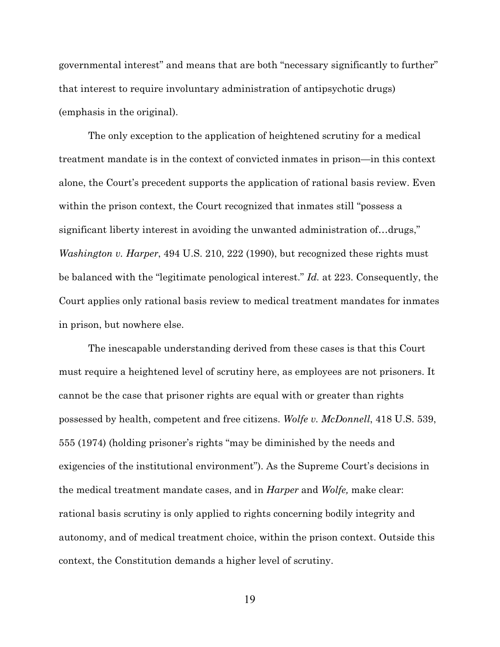governmental interest" and means that are both "necessary significantly to further" that interest to require involuntary administration of antipsychotic drugs) (emphasis in the original).

The only exception to the application of heightened scrutiny for a medical treatment mandate is in the context of convicted inmates in prison—in this context alone, the Court's precedent supports the application of rational basis review. Even within the prison context, the Court recognized that inmates still "possess a significant liberty interest in avoiding the unwanted administration of…drugs," *Washington v. Harper*, 494 U.S. 210, 222 (1990), but recognized these rights must be balanced with the "legitimate penological interest." *Id.* at 223. Consequently, the Court applies only rational basis review to medical treatment mandates for inmates in prison, but nowhere else.

<span id="page-28-0"></span>The inescapable understanding derived from these cases is that this Court must require a heightened level of scrutiny here, as employees are not prisoners. It cannot be the case that prisoner rights are equal with or greater than rights possessed by health, competent and free citizens. *Wolfe v. McDonnell*, 418 U.S. 539, 555 (1974) (holding prisoner's rights "may be diminished by the needs and exigencies of the institutional environment"). As the Supreme Court's decisions in the medical treatment mandate cases, and in *Harper* and *Wolfe,* make clear: rational basis scrutiny is only applied to rights concerning bodily integrity and autonomy, and of medical treatment choice, within the prison context. Outside this context, the Constitution demands a higher level of scrutiny.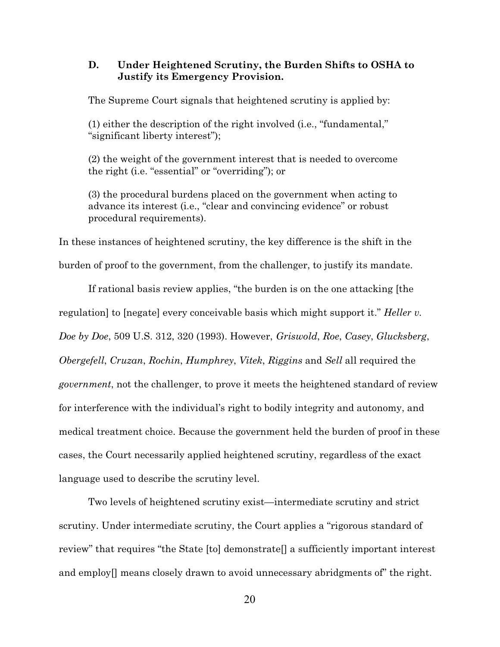#### <span id="page-29-0"></span>**D. Under Heightened Scrutiny, the Burden Shifts to OSHA to Justify its Emergency Provision.**

The Supreme Court signals that heightened scrutiny is applied by:

(1) either the description of the right involved (i.e., "fundamental," "significant liberty interest");

(2) the weight of the government interest that is needed to overcome the right (i.e. "essential" or "overriding"); or

<span id="page-29-1"></span>(3) the procedural burdens placed on the government when acting to advance its interest (i.e., "clear and convincing evidence" or robust procedural requirements).

In these instances of heightened scrutiny, the key difference is the shift in the burden of proof to the government, from the challenger, to justify its mandate.

If rational basis review applies, "the burden is on the one attacking [the regulation] to [negate] every conceivable basis which might support it." *Heller v. Doe by Doe*, 509 U.S. 312, 320 (1993). However, *Griswold*, *Roe*, *Casey*, *Glucksberg*, *Obergefell*, *Cruzan*, *Rochin*, *Humphrey*, *Vitek*, *Riggins* and *Sell* all required the *government*, not the challenger, to prove it meets the heightened standard of review for interference with the individual's right to bodily integrity and autonomy, and medical treatment choice. Because the government held the burden of proof in these cases, the Court necessarily applied heightened scrutiny, regardless of the exact language used to describe the scrutiny level.

Two levels of heightened scrutiny exist—intermediate scrutiny and strict scrutiny. Under intermediate scrutiny, the Court applies a "rigorous standard of review" that requires "the State [to] demonstrate[] a sufficiently important interest and employ[] means closely drawn to avoid unnecessary abridgments of" the right.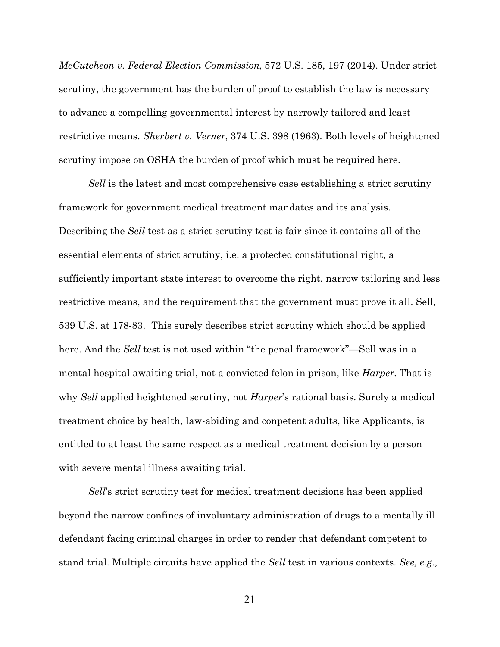<span id="page-30-0"></span>*McCutcheon v. Federal Election Commission*, 572 U.S. 185, 197 (2014). Under strict scrutiny, the government has the burden of proof to establish the law is necessary to advance a compelling governmental interest by narrowly tailored and least restrictive means. *Sherbert v. Verner*, 374 U.S. 398 (1963). Both levels of heightened scrutiny impose on OSHA the burden of proof which must be required here.

<span id="page-30-2"></span><span id="page-30-1"></span>*Sell* is the latest and most comprehensive case establishing a strict scrutiny framework for government medical treatment mandates and its analysis. Describing the *Sell* test as a strict scrutiny test is fair since it contains all of the essential elements of strict scrutiny, i.e. a protected constitutional right, a sufficiently important state interest to overcome the right, narrow tailoring and less restrictive means, and the requirement that the government must prove it all. Sell, 539 U.S. at 178-83. This surely describes strict scrutiny which should be applied here. And the *Sell* test is not used within "the penal framework"—Sell was in a mental hospital awaiting trial, not a convicted felon in prison, like *Harper.* That is why *Sell* applied heightened scrutiny, not *Harper*'s rational basis. Surely a medical treatment choice by health, law-abiding and conpetent adults, like Applicants, is entitled to at least the same respect as a medical treatment decision by a person with severe mental illness awaiting trial.

*Sell*'s strict scrutiny test for medical treatment decisions has been applied beyond the narrow confines of involuntary administration of drugs to a mentally ill defendant facing criminal charges in order to render that defendant competent to stand trial. Multiple circuits have applied the *Sell* test in various contexts. *See, e.g.,*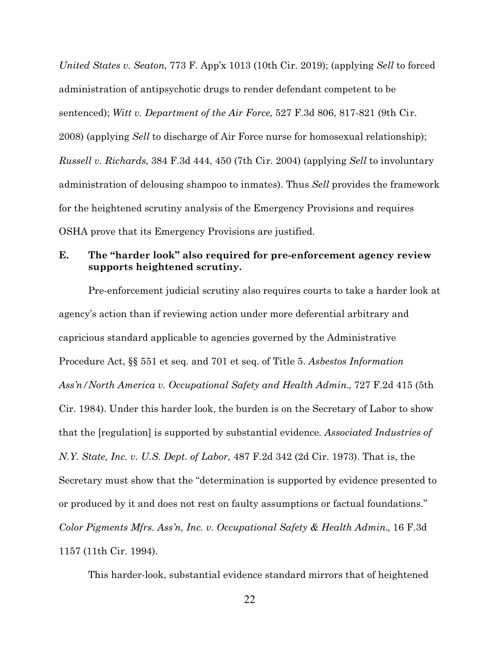<span id="page-31-5"></span><span id="page-31-4"></span><span id="page-31-3"></span>*United States v. Seaton*, 773 F. App'x 1013 (10th Cir. 2019); (applying *Sell* to forced administration of antipsychotic drugs to render defendant competent to be sentenced); *Witt v. Department of the Air Force*, 527 F.3d 806, 817-821 (9th Cir. 2008) (applying *Sell* to discharge of Air Force nurse for homosexual relationship); *Russell v. Richards*, 384 F.3d 444, 450 (7th Cir. 2004) (applying *Sell* to involuntary administration of delousing shampoo to inmates). Thus *Sell* provides the framework for the heightened scrutiny analysis of the Emergency Provisions and requires OSHA prove that its Emergency Provisions are justified.

### <span id="page-31-0"></span>**E. The "harder look" also required for pre-enforcement agency review supports heightened scrutiny.**

<span id="page-31-7"></span><span id="page-31-6"></span>Pre-enforcement judicial scrutiny also requires courts to take a harder look at agency's action than if reviewing action under more deferential arbitrary and capricious standard applicable to agencies governed by the Administrative Procedure Act, §§ 551 et seq. and 701 et seq. of Title 5. *Asbestos Information Ass'n/North America v. Occupational Safety and Health Admin.*, 727 F.2d 415 (5th Cir. 1984). Under this harder look, the burden is on the Secretary of Labor to show that the [regulation] is supported by substantial evidence*. Associated Industries of N.Y. State, Inc. v. U.S. Dept. of Labor,* 487 F.2d 342 (2d Cir. 1973). That is, the Secretary must show that the "determination is supported by evidence presented to or produced by it and does not rest on faulty assumptions or factual foundations." *Color Pigments Mfrs. Ass'n, Inc. v. Occupational Safety & Health Admin.*, 16 F.3d 1157 (11th Cir. 1994).

<span id="page-31-2"></span><span id="page-31-1"></span>This harder-look, substantial evidence standard mirrors that of heightened